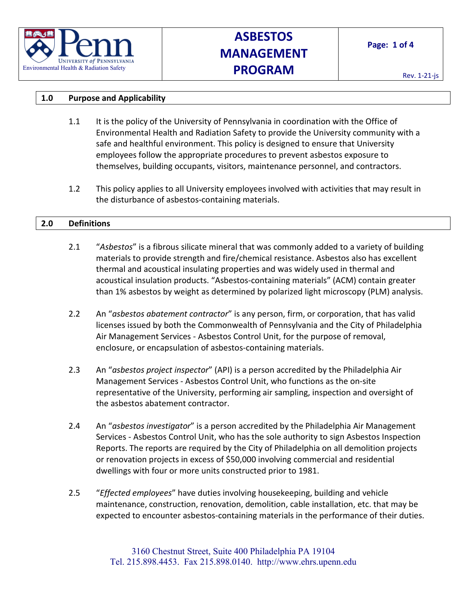

# **ASBESTOS MANAGEMENT PROGRAM**

## **1.0 Purpose and Applicability**

- 1.1 It is the policy of the University of Pennsylvania in coordination with the Office of Environmental Health and Radiation Safety to provide the University community with a safe and healthful environment. This policy is designed to ensure that University employees follow the appropriate procedures to prevent asbestos exposure to themselves, building occupants, visitors, maintenance personnel, and contractors.
- 1.2 This policy applies to all University employees involved with activities that may result in the disturbance of asbestos-containing materials.

## **2.0 Definitions**

- 2.1 "*Asbestos*" is a fibrous silicate mineral that was commonly added to a variety of building materials to provide strength and fire/chemical resistance. Asbestos also has excellent thermal and acoustical insulating properties and was widely used in thermal and acoustical insulation products. "Asbestos-containing materials" (ACM) contain greater than 1% asbestos by weight as determined by polarized light microscopy (PLM) analysis.
- 2.2 An "*asbestos abatement contractor*" is any person, firm, or corporation, that has valid licenses issued by both the Commonwealth of Pennsylvania and the City of Philadelphia Air Management Services - Asbestos Control Unit, for the purpose of removal, enclosure, or encapsulation of asbestos-containing materials.
- 2.3 An "*asbestos project inspector*" (API) is a person accredited by the Philadelphia Air Management Services - Asbestos Control Unit, who functions as the on-site representative of the University, performing air sampling, inspection and oversight of the asbestos abatement contractor.
- 2.4 An "*asbestos investigator*" is a person accredited by the Philadelphia Air Management Services - Asbestos Control Unit, who has the sole authority to sign Asbestos Inspection Reports. The reports are required by the City of Philadelphia on all demolition projects or renovation projects in excess of \$50,000 involving commercial and residential dwellings with four or more units constructed prior to 1981.
- 2.5 "*Effected employees*" have duties involving housekeeping, building and vehicle maintenance, construction, renovation, demolition, cable installation, etc. that may be expected to encounter asbestos-containing materials in the performance of their duties.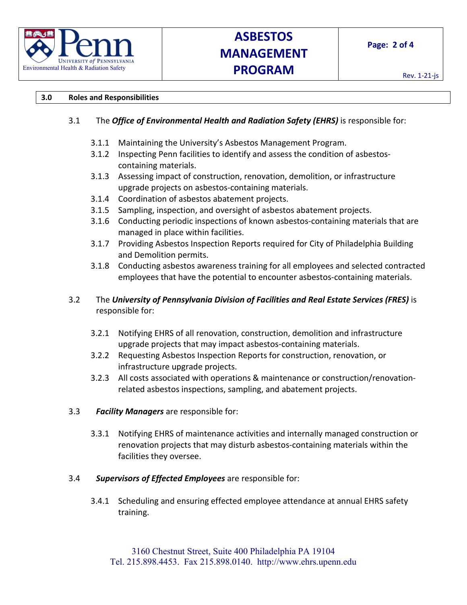

## **ASBESTOS MANAGEMENT PROGRAM**

#### **3.0 Roles and Responsibilities**

## 3.1 The *Office of Environmental Health and Radiation Safety (EHRS)* is responsible for:

- 3.1.1 Maintaining the University's Asbestos Management Program.
- 3.1.2 Inspecting Penn facilities to identify and assess the condition of asbestoscontaining materials.
- 3.1.3 Assessing impact of construction, renovation, demolition, or infrastructure upgrade projects on asbestos-containing materials.
- 3.1.4 Coordination of asbestos abatement projects.
- 3.1.5 Sampling, inspection, and oversight of asbestos abatement projects.
- 3.1.6 Conducting periodic inspections of known asbestos-containing materials that are managed in place within facilities.
- 3.1.7 Providing Asbestos Inspection Reports required for City of Philadelphia Building and Demolition permits.
- 3.1.8 Conducting asbestos awareness training for all employees and selected contracted employees that have the potential to encounter asbestos-containing materials.

## 3.2 The *University of Pennsylvania Division of Facilities and Real Estate Services (FRES)* is responsible for:

- 3.2.1 Notifying EHRS of all renovation, construction, demolition and infrastructure upgrade projects that may impact asbestos-containing materials.
- 3.2.2 Requesting Asbestos Inspection Reports for construction, renovation, or infrastructure upgrade projects.
- 3.2.3 All costs associated with operations & maintenance or construction/renovationrelated asbestos inspections, sampling, and abatement projects.
- 3.3 *Facility Managers* are responsible for:
	- 3.3.1 Notifying EHRS of maintenance activities and internally managed construction or renovation projects that may disturb asbestos-containing materials within the facilities they oversee.

#### 3.4 *Supervisors of Effected Employees* are responsible for:

3.4.1 Scheduling and ensuring effected employee attendance at annual EHRS safety training.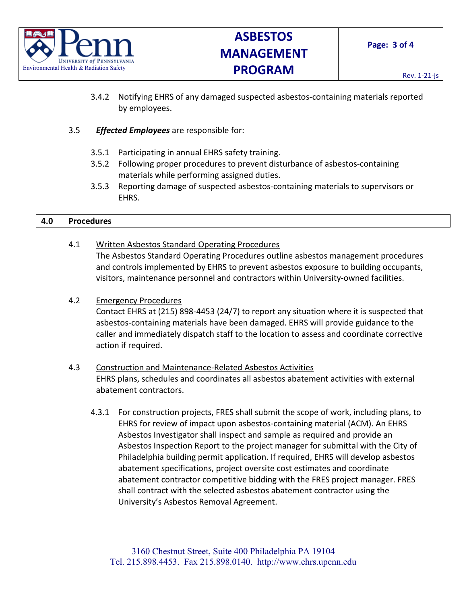

- 3.4.2 Notifying EHRS of any damaged suspected asbestos-containing materials reported by employees.
- 3.5 *Effected Employees* are responsible for:
	- 3.5.1 Participating in annual EHRS safety training.
	- 3.5.2 Following proper procedures to prevent disturbance of asbestos-containing materials while performing assigned duties.
	- 3.5.3 Reporting damage of suspected asbestos-containing materials to supervisors or EHRS.

#### **4.0 Procedures**

- 4.1 Written Asbestos Standard Operating Procedures The Asbestos Standard Operating Procedures outline asbestos management procedures and controls implemented by EHRS to prevent asbestos exposure to building occupants, visitors, maintenance personnel and contractors within University-owned facilities.
- 4.2 Emergency Procedures

Contact EHRS at (215) 898-4453 (24/7) to report any situation where it is suspected that asbestos-containing materials have been damaged. EHRS will provide guidance to the caller and immediately dispatch staff to the location to assess and coordinate corrective action if required.

## 4.3 Construction and Maintenance-Related Asbestos Activities EHRS plans, schedules and coordinates all asbestos abatement activities with external abatement contractors.

4.3.1 For construction projects, FRES shall submit the scope of work, including plans, to EHRS for review of impact upon asbestos-containing material (ACM). An EHRS Asbestos Investigator shall inspect and sample as required and provide an Asbestos Inspection Report to the project manager for submittal with the City of Philadelphia building permit application. If required, EHRS will develop asbestos abatement specifications, project oversite cost estimates and coordinate abatement contractor competitive bidding with the FRES project manager. FRES shall contract with the selected asbestos abatement contractor using the University's Asbestos Removal Agreement.